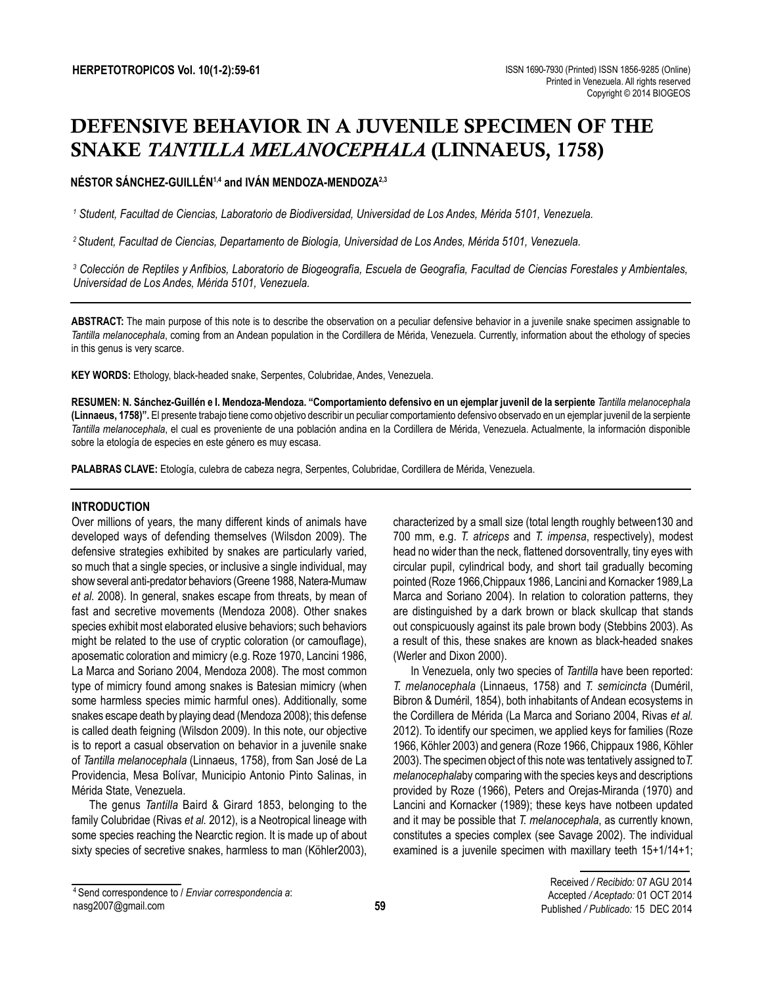# DEFENSIVE BEHAVIOR IN A JUVENILE SPECIMEN OF THE SNAKE *TANTILLA MELANOCEPHALA* (LINNAEUS, 1758)

# **NÉSTOR SÁNCHEZ-GUILLÉN1,4 and IVÁN MENDOZA-MENDOZA2,3**

*1 Student, Facultad de Ciencias, Laboratorio de Biodiversidad, Universidad de Los Andes, Mérida 5101, Venezuela.*

*2 Student, Facultad de Ciencias, Departamento de Biología, Universidad de Los Andes, Mérida 5101, Venezuela.*

<sup>3</sup> Colección de Reptiles y Anfibios, Laboratorio de Biogeografía, Escuela de Geografía, Facultad de Ciencias Forestales y Ambientales, *Universidad de Los Andes, Mérida 5101, Venezuela.*

**ABSTRACT:** The main purpose of this note is to describe the observation on a peculiar defensive behavior in a juvenile snake specimen assignable to *Tantilla melanocephala*, coming from an Andean population in the Cordillera de Mérida, Venezuela. Currently, information about the ethology of species in this genus is very scarce.

**KEY WORDS:** Ethology, black-headed snake, Serpentes, Colubridae, Andes, Venezuela.

**RESUMEN: N. Sánchez-Guillén e I. Mendoza-Mendoza. "Comportamiento defensivo en un ejemplar juvenil de la serpiente** *Tantilla melanocephala*  **(Linnaeus, 1758)".** El presente trabajo tiene como objetivo describir un peculiar comportamiento defensivo observado en un ejemplar juvenil de la serpiente *Tantilla melanocephala*, el cual es proveniente de una población andina en la Cordillera de Mérida, Venezuela. Actualmente, la información disponible sobre la etología de especies en este género es muy escasa.

**PALABRAS CLAVE:** Etología, culebra de cabeza negra, Serpentes, Colubridae, Cordillera de Mérida, Venezuela.

## **INTRODUCTION**

Over millions of years, the many different kinds of animals have developed ways of defending themselves (Wilsdon 2009). The defensive strategies exhibited by snakes are particularly varied, so much that a single species, or inclusive a single individual, may show several anti-predator behaviors (Greene 1988, Natera-Mumaw *et al.* 2008). In general, snakes escape from threats, by mean of fast and secretive movements (Mendoza 2008). Other snakes species exhibit most elaborated elusive behaviors; such behaviors might be related to the use of cryptic coloration (or camouflage), aposematic coloration and mimicry (e.g. Roze 1970, Lancini 1986, La Marca and Soriano 2004, Mendoza 2008). The most common type of mimicry found among snakes is Batesian mimicry (when some harmless species mimic harmful ones). Additionally, some snakes escape death by playing dead (Mendoza 2008); this defense is called death feigning (Wilsdon 2009). In this note, our objective is to report a casual observation on behavior in a juvenile snake of *Tantilla melanocephala* (Linnaeus, 1758), from San José de La Providencia, Mesa Bolívar, Municipio Antonio Pinto Salinas, in Mérida State, Venezuela.

The genus *Tantilla* Baird & Girard 1853, belonging to the family Colubridae (Rivas *et al.* 2012), is a Neotropical lineage with some species reaching the Nearctic region. It is made up of about sixty species of secretive snakes, harmless to man (Köhler2003),

characterized by a small size (total length roughly between130 and 700 mm, e.g. *T. atriceps* and *T. impensa*, respectively), modest head no wider than the neck, flattened dorsoventrally, tiny eyes with circular pupil, cylindrical body, and short tail gradually becoming pointed (Roze 1966,Chippaux 1986, Lancini and Kornacker 1989,La Marca and Soriano 2004). In relation to coloration patterns, they are distinguished by a dark brown or black skullcap that stands out conspicuously against its pale brown body (Stebbins 2003). As a result of this, these snakes are known as black-headed snakes (Werler and Dixon 2000).

In Venezuela, only two species of *Tantilla* have been reported: *T. melanocephala* (Linnaeus, 1758) and *T. semicincta* (Duméril, Bibron & Duméril, 1854), both inhabitants of Andean ecosystems in the Cordillera de Mérida (La Marca and Soriano 2004, Rivas *et al.* 2012). To identify our specimen, we applied keys for families (Roze 1966, Köhler 2003) and genera (Roze 1966, Chippaux 1986, Köhler 2003). The specimen object of this note was tentatively assigned to*T. melanocephala*by comparing with the species keys and descriptions provided by Roze (1966), Peters and Orejas-Miranda (1970) and Lancini and Kornacker (1989); these keys have notbeen updated and it may be possible that *T. melanocephala*, as currently known, constitutes a species complex (see Savage 2002). The individual examined is a juvenile specimen with maxillary teeth 15+1/14+1;

<sup>4</sup> Send correspondence to / *Enviar correspondencia a*: nasg2007@gmail.com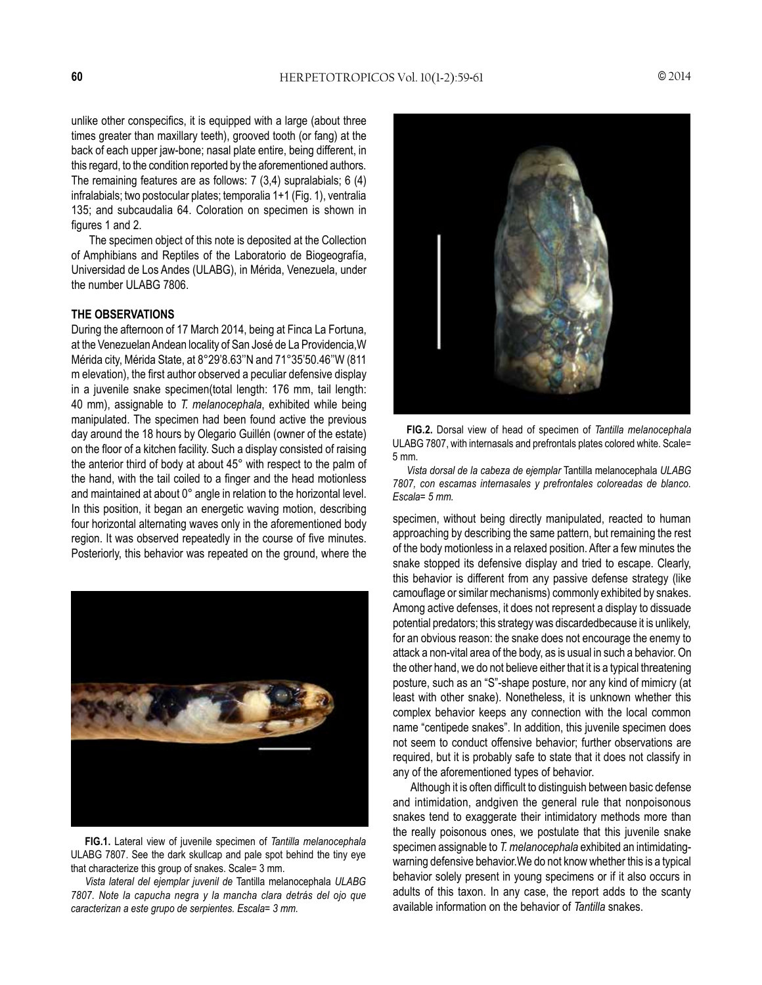unlike other conspecifics, it is equipped with a large (about three times greater than maxillary teeth), grooved tooth (or fang) at the back of each upper jaw-bone; nasal plate entire, being different, in this regard, to the condition reported by the aforementioned authors. The remaining features are as follows: 7 (3,4) supralabials; 6 (4) infralabials; two postocular plates; temporalia 1+1 (Fig. 1), ventralia 135; and subcaudalia 64. Coloration on specimen is shown in figures 1 and 2.

The specimen object of this note is deposited at the Collection of Amphibians and Reptiles of the Laboratorio de Biogeografía, Universidad de Los Andes (ULABG), in Mérida, Venezuela, under the number ULABG 7806.

#### **THE OBSERVATIONS**

During the afternoon of 17 March 2014, being at Finca La Fortuna, at the Venezuelan Andean locality of San José de La Providencia,W Mérida city, Mérida State, at 8°29'8.63''N and 71°35'50.46''W (811 m elevation), the first author observed a peculiar defensive display in a juvenile snake specimen(total length: 176 mm, tail length: 40 mm), assignable to *T. melanocephala*, exhibited while being manipulated. The specimen had been found active the previous day around the 18 hours by Olegario Guillén (owner of the estate) on the floor of a kitchen facility. Such a display consisted of raising the anterior third of body at about 45° with respect to the palm of the hand, with the tail coiled to a finger and the head motionless and maintained at about 0° angle in relation to the horizontal level. In this position, it began an energetic waving motion, describing four horizontal alternating waves only in the aforementioned body region. It was observed repeatedly in the course of five minutes. Posteriorly, this behavior was repeated on the ground, where the



**FIG.1.** Lateral view of juvenile specimen of *Tantilla melanocephala* ULABG 7807. See the dark skullcap and pale spot behind the tiny eye that characterize this group of snakes. Scale= 3 mm.

*Vista lateral del ejemplar juvenil de* Tantilla melanocephala *ULABG 7807. Note la capucha negra y la mancha clara detrás del ojo que caracterizan a este grupo de serpientes. Escala= 3 mm.*



**FIG.2.** Dorsal view of head of specimen of *Tantilla melanocephala*  ULABG 7807, with internasals and prefrontals plates colored white. Scale= 5 mm.

*Vista dorsal de la cabeza de ejemplar* Tantilla melanocephala *ULABG 7807, con escamas internasales y prefrontales coloreadas de blanco. Escala= 5 mm.*

specimen, without being directly manipulated, reacted to human approaching by describing the same pattern, but remaining the rest of the body motionless in a relaxed position. After a few minutes the snake stopped its defensive display and tried to escape. Clearly, this behavior is different from any passive defense strategy (like camouflage or similar mechanisms) commonly exhibited by snakes. Among active defenses, it does not represent a display to dissuade potential predators; this strategy was discardedbecause it is unlikely, for an obvious reason: the snake does not encourage the enemy to attack a non-vital area of the body, as is usual in such a behavior. On the other hand, we do not believe either that it is a typical threatening posture, such as an "S"-shape posture, nor any kind of mimicry (at least with other snake). Nonetheless, it is unknown whether this complex behavior keeps any connection with the local common name "centipede snakes". In addition, this juvenile specimen does not seem to conduct offensive behavior; further observations are required, but it is probably safe to state that it does not classify in any of the aforementioned types of behavior.

Although it is often difficult to distinguish between basic defense and intimidation, andgiven the general rule that nonpoisonous snakes tend to exaggerate their intimidatory methods more than the really poisonous ones, we postulate that this juvenile snake specimen assignable to *T. melanocephala* exhibited an intimidatingwarning defensive behavior.We do not know whether this is a typical behavior solely present in young specimens or if it also occurs in adults of this taxon. In any case, the report adds to the scanty available information on the behavior of *Tantilla* snakes.